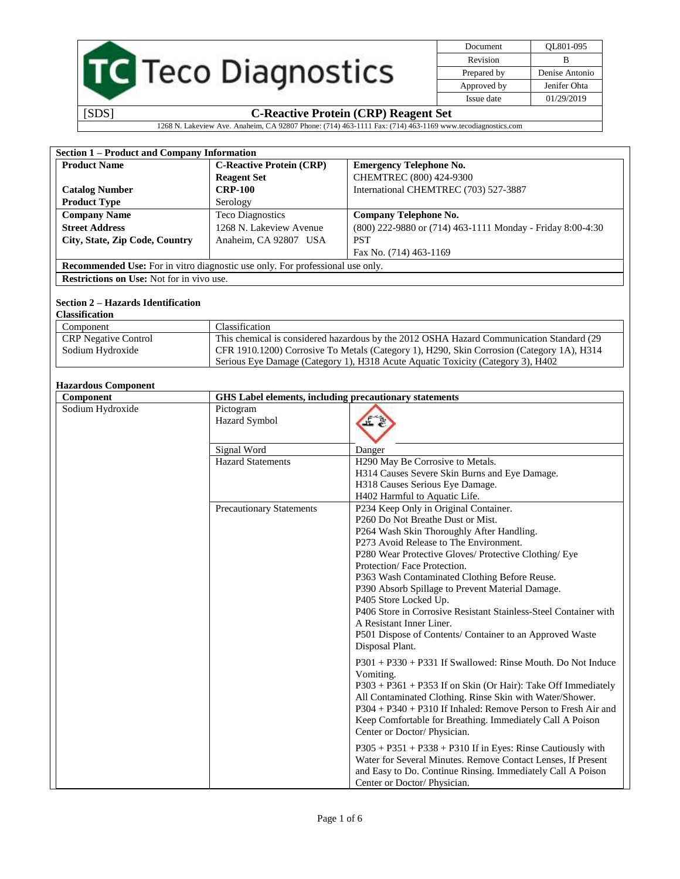|  | <b>TC</b> Teco Diagnostics |
|--|----------------------------|
|  |                            |

| Document    | OL801-095      |
|-------------|----------------|
| Revision    | в              |
| Prepared by | Denise Antonio |
| Approved by | Jenifer Ohta   |
| Issue date  | 01/29/2019     |
|             |                |

1268 N. Lakeview Ave. Anaheim, CA 92807 Phone: (714) 463-1111 Fax: (714) 463-1169 www.tecodiagnostics.com

| Section 1 - Product and Company Information      |                                                                               |                                                                                           |
|--------------------------------------------------|-------------------------------------------------------------------------------|-------------------------------------------------------------------------------------------|
| <b>Product Name</b>                              | <b>C-Reactive Protein (CRP)</b>                                               | <b>Emergency Telephone No.</b>                                                            |
|                                                  | <b>Reagent Set</b>                                                            | CHEMTREC (800) 424-9300                                                                   |
| <b>Catalog Number</b>                            | <b>CRP-100</b>                                                                | International CHEMTREC (703) 527-3887                                                     |
| <b>Product Type</b>                              | Serology                                                                      |                                                                                           |
| <b>Company Name</b>                              | <b>Teco Diagnostics</b>                                                       | <b>Company Telephone No.</b>                                                              |
| <b>Street Address</b>                            | 1268 N. Lakeview Avenue                                                       | (800) 222-9880 or (714) 463-1111 Monday - Friday 8:00-4:30                                |
| City, State, Zip Code, Country                   | Anaheim, CA 92807 USA                                                         | <b>PST</b>                                                                                |
|                                                  |                                                                               | Fax No. (714) 463-1169                                                                    |
|                                                  | Recommended Use: For in vitro diagnostic use only. For professional use only. |                                                                                           |
| <b>Restrictions on Use:</b> Not for in vivo use. |                                                                               |                                                                                           |
|                                                  |                                                                               |                                                                                           |
| <b>Section 2 – Hazards Identification</b>        |                                                                               |                                                                                           |
| <b>Classification</b>                            |                                                                               |                                                                                           |
| Component                                        | Classification                                                                |                                                                                           |
| <b>CRP</b> Negative Control                      |                                                                               | This chemical is considered hazardous by the 2012 OSHA Hazard Communication Standard (29  |
| Sodium Hydroxide                                 |                                                                               | CFR 1910.1200) Corrosive To Metals (Category 1), H290, Skin Corrosion (Category 1A), H314 |
|                                                  |                                                                               | Serious Eye Damage (Category 1), H318 Acute Aquatic Toxicity (Category 3), H402           |
|                                                  |                                                                               |                                                                                           |
| <b>Hazardous Component</b>                       |                                                                               |                                                                                           |
| Component                                        |                                                                               | GHS Label elements, including precautionary statements                                    |
| Sodium Hydroxide                                 | Pictogram                                                                     |                                                                                           |
|                                                  | Hazard Symbol                                                                 |                                                                                           |
|                                                  |                                                                               |                                                                                           |
|                                                  | Signal Word                                                                   | Danger                                                                                    |
|                                                  | <b>Hazard Statements</b>                                                      | H <sub>290</sub> May Be Corrosive to Metals.                                              |
|                                                  |                                                                               | H314 Causes Severe Skin Burns and Eye Damage.                                             |
|                                                  |                                                                               | H318 Causes Serious Eye Damage.                                                           |
|                                                  |                                                                               | H402 Harmful to Aquatic Life.                                                             |
|                                                  | <b>Precautionary Statements</b>                                               | P234 Keep Only in Original Container.                                                     |
|                                                  |                                                                               | P260 Do Not Breathe Dust or Mist.                                                         |
|                                                  |                                                                               | P264 Wash Skin Thoroughly After Handling.                                                 |
|                                                  |                                                                               | P273 Avoid Release to The Environment.                                                    |
|                                                  |                                                                               | P280 Wear Protective Gloves/ Protective Clothing/ Eye                                     |
|                                                  |                                                                               | Protection/Face Protection.                                                               |
|                                                  |                                                                               | P363 Wash Contaminated Clothing Before Reuse.                                             |
|                                                  |                                                                               | P390 Absorb Spillage to Prevent Material Damage.                                          |
|                                                  |                                                                               | P405 Store Locked Up.                                                                     |
|                                                  |                                                                               | P406 Store in Corrosive Resistant Stainless-Steel Container with                          |
|                                                  |                                                                               | A Resistant Inner Liner.                                                                  |
|                                                  |                                                                               | P501 Dispose of Contents/ Container to an Approved Waste                                  |
|                                                  |                                                                               | Disposal Plant.                                                                           |
|                                                  |                                                                               | $P301 + P330 + P331$ If Swallowed: Rinse Mouth. Do Not Induce                             |
|                                                  |                                                                               | Vomiting.                                                                                 |
|                                                  |                                                                               | P303 + P361 + P353 If on Skin (Or Hair): Take Off Immediately                             |
|                                                  |                                                                               | All Contaminated Clothing. Rinse Skin with Water/Shower.                                  |
|                                                  |                                                                               | P304 + P340 + P310 If Inhaled: Remove Person to Fresh Air and                             |
|                                                  |                                                                               | Keep Comfortable for Breathing. Immediately Call A Poison                                 |
|                                                  |                                                                               | Center or Doctor/Physician.                                                               |
|                                                  |                                                                               |                                                                                           |
|                                                  |                                                                               | $P305 + P351 + P338 + P310$ If in Eyes: Rinse Cautiously with                             |
|                                                  |                                                                               | Water for Several Minutes. Remove Contact Lenses, If Present                              |
|                                                  |                                                                               | and Easy to Do. Continue Rinsing. Immediately Call A Poison                               |
|                                                  |                                                                               | Center or Doctor/ Physician.                                                              |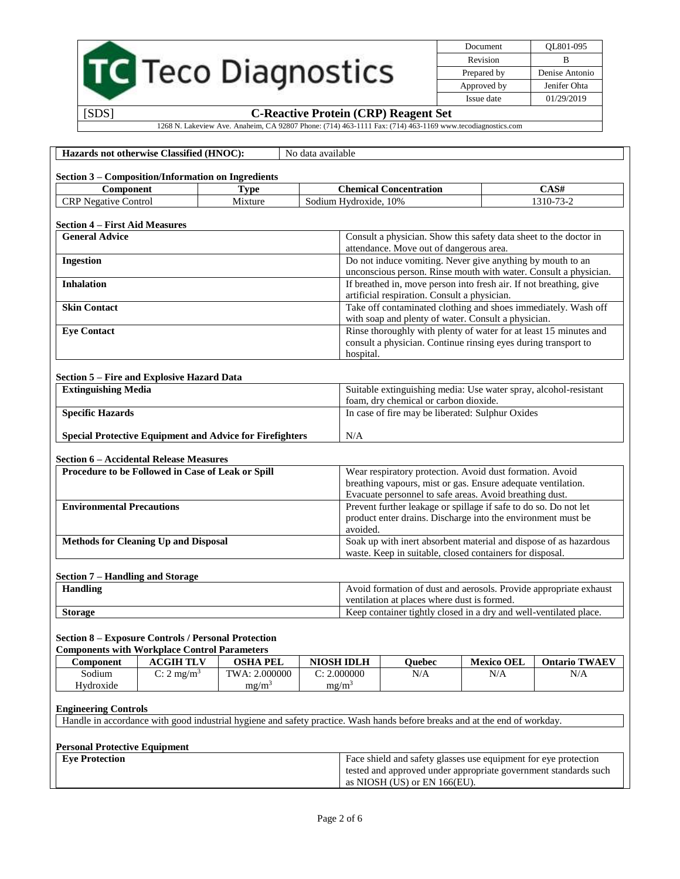|                                                                 |                                                                                                                   |                                                                                                                            |                                                                   |                                                                                                                          |                                                         |  | Document          | QL801-095                                                          |
|-----------------------------------------------------------------|-------------------------------------------------------------------------------------------------------------------|----------------------------------------------------------------------------------------------------------------------------|-------------------------------------------------------------------|--------------------------------------------------------------------------------------------------------------------------|---------------------------------------------------------|--|-------------------|--------------------------------------------------------------------|
|                                                                 |                                                                                                                   |                                                                                                                            |                                                                   |                                                                                                                          |                                                         |  | Revision          | B                                                                  |
| TC Teco Diagnostics                                             |                                                                                                                   |                                                                                                                            |                                                                   | Prepared by                                                                                                              | Denise Antonio                                          |  |                   |                                                                    |
|                                                                 |                                                                                                                   |                                                                                                                            |                                                                   | Approved by<br>Issue date                                                                                                | Jenifer Ohta<br>01/29/2019                              |  |                   |                                                                    |
| [SDS]<br><b>C-Reactive Protein (CRP) Reagent Set</b>            |                                                                                                                   |                                                                                                                            |                                                                   |                                                                                                                          |                                                         |  |                   |                                                                    |
|                                                                 |                                                                                                                   | 1268 N. Lakeview Ave. Anaheim, CA 92807 Phone: (714) 463-1111 Fax: (714) 463-1169 www.tecodiagnostics.com                  |                                                                   |                                                                                                                          |                                                         |  |                   |                                                                    |
|                                                                 |                                                                                                                   |                                                                                                                            |                                                                   |                                                                                                                          |                                                         |  |                   |                                                                    |
|                                                                 | Hazards not otherwise Classified (HNOC):                                                                          |                                                                                                                            | No data available                                                 |                                                                                                                          |                                                         |  |                   |                                                                    |
|                                                                 |                                                                                                                   |                                                                                                                            |                                                                   |                                                                                                                          |                                                         |  |                   |                                                                    |
| Component                                                       | Section 3 - Composition/Information on Ingredients                                                                | <b>Type</b>                                                                                                                |                                                                   |                                                                                                                          | <b>Chemical Concentration</b>                           |  |                   | CAS#                                                               |
| <b>CRP</b> Negative Control                                     |                                                                                                                   | Mixture                                                                                                                    |                                                                   | Sodium Hydroxide, 10%                                                                                                    |                                                         |  |                   | 1310-73-2                                                          |
|                                                                 |                                                                                                                   |                                                                                                                            |                                                                   |                                                                                                                          |                                                         |  |                   |                                                                    |
| <b>Section 4 – First Aid Measures</b><br><b>General Advice</b>  |                                                                                                                   |                                                                                                                            |                                                                   |                                                                                                                          |                                                         |  |                   | Consult a physician. Show this safety data sheet to the doctor in  |
|                                                                 |                                                                                                                   |                                                                                                                            |                                                                   |                                                                                                                          | attendance. Move out of dangerous area.                 |  |                   |                                                                    |
| <b>Ingestion</b>                                                |                                                                                                                   |                                                                                                                            |                                                                   |                                                                                                                          |                                                         |  |                   | Do not induce vomiting. Never give anything by mouth to an         |
|                                                                 |                                                                                                                   |                                                                                                                            |                                                                   |                                                                                                                          |                                                         |  |                   | unconscious person. Rinse mouth with water. Consult a physician.   |
| <b>Inhalation</b>                                               |                                                                                                                   |                                                                                                                            |                                                                   |                                                                                                                          | artificial respiration. Consult a physician.            |  |                   | If breathed in, move person into fresh air. If not breathing, give |
| <b>Skin Contact</b>                                             |                                                                                                                   |                                                                                                                            |                                                                   |                                                                                                                          |                                                         |  |                   | Take off contaminated clothing and shoes immediately. Wash off     |
|                                                                 |                                                                                                                   |                                                                                                                            |                                                                   |                                                                                                                          | with soap and plenty of water. Consult a physician.     |  |                   |                                                                    |
| <b>Eye Contact</b>                                              |                                                                                                                   |                                                                                                                            |                                                                   |                                                                                                                          |                                                         |  |                   | Rinse thoroughly with plenty of water for at least 15 minutes and  |
|                                                                 |                                                                                                                   |                                                                                                                            |                                                                   | consult a physician. Continue rinsing eyes during transport to<br>hospital.                                              |                                                         |  |                   |                                                                    |
|                                                                 |                                                                                                                   |                                                                                                                            |                                                                   |                                                                                                                          |                                                         |  |                   |                                                                    |
|                                                                 | Section 5 – Fire and Explosive Hazard Data                                                                        |                                                                                                                            |                                                                   |                                                                                                                          |                                                         |  |                   |                                                                    |
| <b>Extinguishing Media</b>                                      |                                                                                                                   |                                                                                                                            |                                                                   | Suitable extinguishing media: Use water spray, alcohol-resistant<br>foam, dry chemical or carbon dioxide.                |                                                         |  |                   |                                                                    |
| <b>Specific Hazards</b>                                         |                                                                                                                   |                                                                                                                            | In case of fire may be liberated: Sulphur Oxides                  |                                                                                                                          |                                                         |  |                   |                                                                    |
| <b>Special Protective Equipment and Advice for Firefighters</b> |                                                                                                                   |                                                                                                                            | N/A                                                               |                                                                                                                          |                                                         |  |                   |                                                                    |
|                                                                 |                                                                                                                   |                                                                                                                            |                                                                   |                                                                                                                          |                                                         |  |                   |                                                                    |
|                                                                 | <b>Section 6 - Accidental Release Measures</b>                                                                    |                                                                                                                            |                                                                   |                                                                                                                          |                                                         |  |                   |                                                                    |
|                                                                 | Procedure to be Followed in Case of Leak or Spill                                                                 |                                                                                                                            |                                                                   | Wear respiratory protection. Avoid dust formation. Avoid<br>breathing vapours, mist or gas. Ensure adequate ventilation. |                                                         |  |                   |                                                                    |
|                                                                 |                                                                                                                   |                                                                                                                            |                                                                   |                                                                                                                          | Evacuate personnel to safe areas. Avoid breathing dust. |  |                   |                                                                    |
| <b>Environmental Precautions</b>                                |                                                                                                                   |                                                                                                                            |                                                                   |                                                                                                                          |                                                         |  |                   | Prevent further leakage or spillage if safe to do so. Do not let   |
|                                                                 |                                                                                                                   |                                                                                                                            |                                                                   |                                                                                                                          |                                                         |  |                   | product enter drains. Discharge into the environment must be       |
|                                                                 | <b>Methods for Cleaning Up and Disposal</b>                                                                       |                                                                                                                            |                                                                   | avoided.                                                                                                                 |                                                         |  |                   | Soak up with inert absorbent material and dispose of as hazardous  |
|                                                                 |                                                                                                                   |                                                                                                                            |                                                                   | waste. Keep in suitable, closed containers for disposal.                                                                 |                                                         |  |                   |                                                                    |
|                                                                 |                                                                                                                   |                                                                                                                            |                                                                   |                                                                                                                          |                                                         |  |                   |                                                                    |
| Section 7 - Handling and Storage<br><b>Handling</b>             |                                                                                                                   |                                                                                                                            |                                                                   |                                                                                                                          |                                                         |  |                   | Avoid formation of dust and aerosols. Provide appropriate exhaust  |
|                                                                 |                                                                                                                   |                                                                                                                            |                                                                   | ventilation at places where dust is formed.                                                                              |                                                         |  |                   |                                                                    |
| <b>Storage</b>                                                  |                                                                                                                   |                                                                                                                            | Keep container tightly closed in a dry and well-ventilated place. |                                                                                                                          |                                                         |  |                   |                                                                    |
|                                                                 |                                                                                                                   |                                                                                                                            |                                                                   |                                                                                                                          |                                                         |  |                   |                                                                    |
|                                                                 | <b>Section 8 – Exposure Controls / Personal Protection</b><br><b>Components with Workplace Control Parameters</b> |                                                                                                                            |                                                                   |                                                                                                                          |                                                         |  |                   |                                                                    |
| Component                                                       | <b>ACGIH TLV</b>                                                                                                  | <b>OSHA PEL</b>                                                                                                            |                                                                   | <b>NIOSH IDLH</b>                                                                                                        | <b>Ouebec</b>                                           |  | <b>Mexico OEL</b> | <b>Ontario TWAEV</b>                                               |
| Sodium                                                          | C: $2 \text{ mg/m}^3$                                                                                             | TWA: 2.000000                                                                                                              |                                                                   | C: 2.000000                                                                                                              | N/A                                                     |  | N/A               | N/A                                                                |
| Hydroxide                                                       |                                                                                                                   | $mg/m^3$                                                                                                                   |                                                                   | mg/m <sup>3</sup>                                                                                                        |                                                         |  |                   |                                                                    |
| <b>Engineering Controls</b>                                     |                                                                                                                   |                                                                                                                            |                                                                   |                                                                                                                          |                                                         |  |                   |                                                                    |
|                                                                 |                                                                                                                   | Handle in accordance with good industrial hygiene and safety practice. Wash hands before breaks and at the end of workday. |                                                                   |                                                                                                                          |                                                         |  |                   |                                                                    |
|                                                                 |                                                                                                                   |                                                                                                                            |                                                                   |                                                                                                                          |                                                         |  |                   |                                                                    |
| <b>Personal Protective Equipment</b><br><b>Eye Protection</b>   |                                                                                                                   |                                                                                                                            |                                                                   |                                                                                                                          |                                                         |  |                   | Face shield and safety glasses use equipment for eye protection    |
|                                                                 |                                                                                                                   |                                                                                                                            |                                                                   |                                                                                                                          |                                                         |  |                   | tested and approved under appropriate government standards such    |
|                                                                 |                                                                                                                   |                                                                                                                            |                                                                   |                                                                                                                          | as NIOSH (US) or EN 166(EU).                            |  |                   |                                                                    |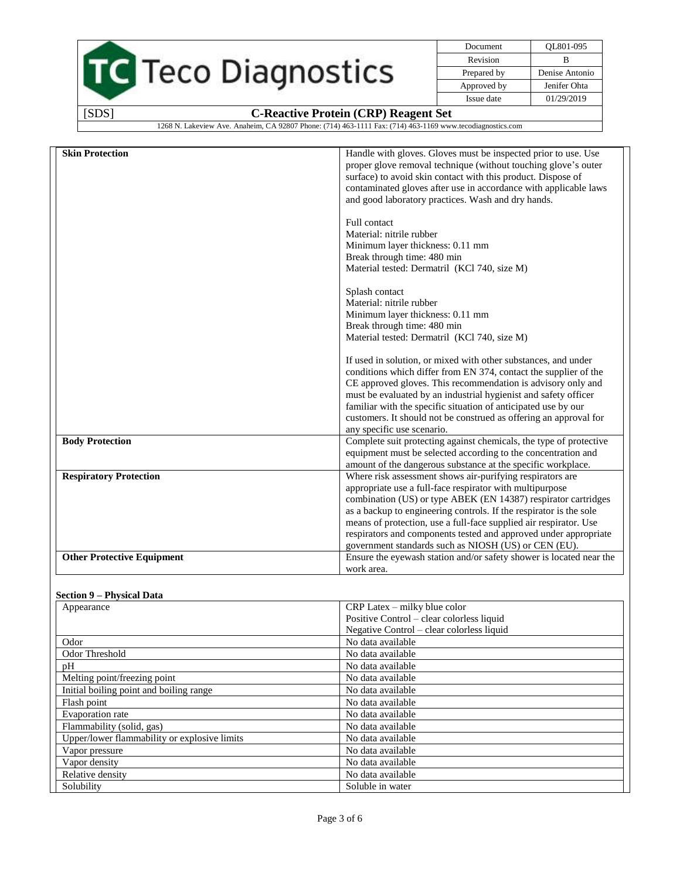|  | TC Teco Diagnostics |
|--|---------------------|
|  |                     |
|  |                     |

| Document    | OL801-095      |
|-------------|----------------|
| Revision    | R              |
| Prepared by | Denise Antonio |
| Approved by | Jenifer Ohta   |
| Issue date  | 01/29/2019     |

1268 N. Lakeview Ave. Anaheim, CA 92807 Phone: (714) 463-1111 Fax: (714) 463-1169 www.tecodiagnostics.com

| <b>Skin Protection</b>            | Handle with gloves. Gloves must be inspected prior to use. Use                                   |
|-----------------------------------|--------------------------------------------------------------------------------------------------|
|                                   | proper glove removal technique (without touching glove's outer                                   |
|                                   | surface) to avoid skin contact with this product. Dispose of                                     |
|                                   | contaminated gloves after use in accordance with applicable laws                                 |
|                                   | and good laboratory practices. Wash and dry hands.                                               |
|                                   |                                                                                                  |
|                                   | Full contact                                                                                     |
|                                   | Material: nitrile rubber                                                                         |
|                                   | Minimum layer thickness: 0.11 mm                                                                 |
|                                   | Break through time: 480 min<br>Material tested: Dermatril (KCl 740, size M)                      |
|                                   |                                                                                                  |
|                                   | Splash contact                                                                                   |
|                                   | Material: nitrile rubber                                                                         |
|                                   | Minimum layer thickness: 0.11 mm                                                                 |
|                                   | Break through time: 480 min                                                                      |
|                                   | Material tested: Dermatril (KCl 740, size M)                                                     |
|                                   | If used in solution, or mixed with other substances, and under                                   |
|                                   | conditions which differ from EN 374, contact the supplier of the                                 |
|                                   | CE approved gloves. This recommendation is advisory only and                                     |
|                                   | must be evaluated by an industrial hygienist and safety officer                                  |
|                                   | familiar with the specific situation of anticipated use by our                                   |
|                                   | customers. It should not be construed as offering an approval for                                |
| <b>Body Protection</b>            | any specific use scenario.<br>Complete suit protecting against chemicals, the type of protective |
|                                   | equipment must be selected according to the concentration and                                    |
|                                   | amount of the dangerous substance at the specific workplace.                                     |
| <b>Respiratory Protection</b>     | Where risk assessment shows air-purifying respirators are                                        |
|                                   | appropriate use a full-face respirator with multipurpose                                         |
|                                   | combination (US) or type ABEK (EN 14387) respirator cartridges                                   |
|                                   | as a backup to engineering controls. If the respirator is the sole                               |
|                                   | means of protection, use a full-face supplied air respirator. Use                                |
|                                   | respirators and components tested and approved under appropriate                                 |
|                                   | government standards such as NIOSH (US) or CEN (EU).                                             |
| <b>Other Protective Equipment</b> | Ensure the eyewash station and/or safety shower is located near the                              |
|                                   | work area.                                                                                       |

### **Section 9 – Physical Data**

| Appearance                                   | $CRP$ Latex – milky blue color            |
|----------------------------------------------|-------------------------------------------|
|                                              | Positive Control – clear colorless liquid |
|                                              | Negative Control – clear colorless liquid |
| Odor                                         | No data available                         |
| Odor Threshold                               | No data available                         |
| pH                                           | No data available                         |
| Melting point/freezing point                 | No data available                         |
| Initial boiling point and boiling range      | No data available                         |
| Flash point                                  | No data available                         |
| Evaporation rate                             | No data available                         |
| Flammability (solid, gas)                    | No data available                         |
| Upper/lower flammability or explosive limits | No data available                         |
| Vapor pressure                               | No data available                         |
| Vapor density                                | No data available                         |
| Relative density                             | No data available                         |
| Solubility                                   | Soluble in water                          |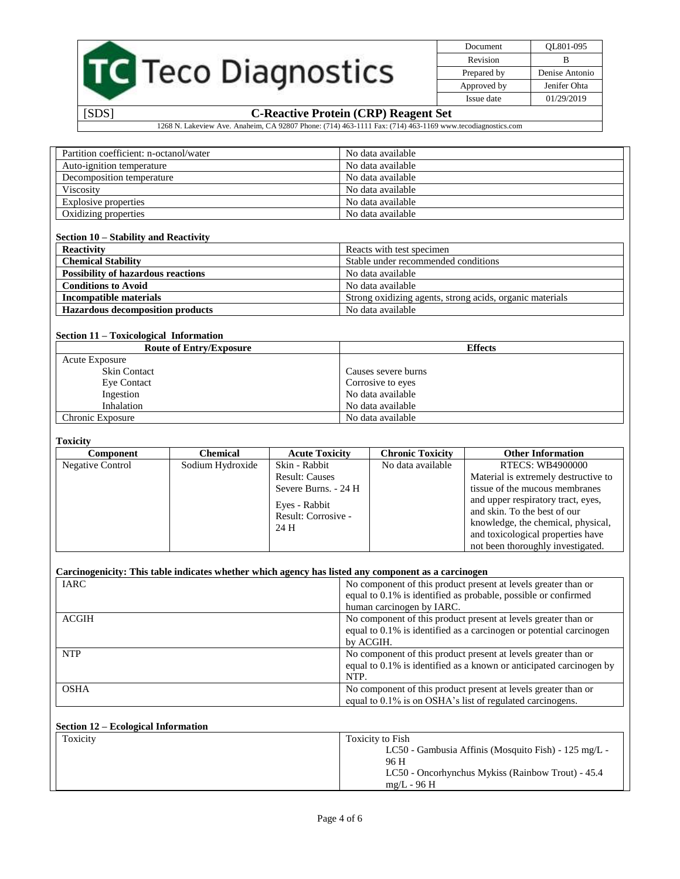|  | TC Teco Diagnostics |
|--|---------------------|
|  |                     |

| Document    | OL801-095      |
|-------------|----------------|
| Revision    | R              |
| Prepared by | Denise Antonio |
| Approved by | Jenifer Ohta   |
| Issue date  | 01/29/2019     |

1268 N. Lakeview Ave. Anaheim, CA 92807 Phone: (714) 463-1111 Fax: (714) 463-1169 www.tecodiagnostics.com

| Partition coefficient: n-octanol/water | No data available |
|----------------------------------------|-------------------|
| Auto-ignition temperature              | No data available |
| Decomposition temperature              | No data available |
| <b>Viscosity</b>                       | No data available |
| Explosive properties                   | No data available |
| Oxidizing properties                   | No data available |

#### **Section 10 – Stability and Reactivity**

| <b>Reactivity</b>                         | Reacts with test specimen                                |
|-------------------------------------------|----------------------------------------------------------|
| <b>Chemical Stability</b>                 | Stable under recommended conditions                      |
| <b>Possibility of hazardous reactions</b> | No data available                                        |
| <b>Conditions to Avoid</b>                | No data available                                        |
| Incompatible materials                    | Strong oxidizing agents, strong acids, organic materials |
| <b>Hazardous decomposition products</b>   | No data available                                        |

#### **Section 11 – Toxicological Information**

| <b>Route of Entry/Exposure</b> | <b>Effects</b>      |
|--------------------------------|---------------------|
| <b>Acute Exposure</b>          |                     |
| <b>Skin Contact</b>            | Causes severe burns |
| Eye Contact                    | Corrosive to eyes   |
| Ingestion                      | No data available   |
| Inhalation                     | No data available   |
| Chronic Exposure               | No data available   |

#### **Toxicity**

| Component        | Chemical         | <b>Acute Toxicity</b>                        | <b>Chronic Toxicity</b> | <b>Other Information</b>                                                                                                                                                           |
|------------------|------------------|----------------------------------------------|-------------------------|------------------------------------------------------------------------------------------------------------------------------------------------------------------------------------|
| Negative Control | Sodium Hydroxide | Skin - Rabbit                                | No data available       | <b>RTECS: WB4900000</b>                                                                                                                                                            |
|                  |                  | <b>Result: Causes</b>                        |                         | Material is extremely destructive to                                                                                                                                               |
|                  |                  | Severe Burns. - 24 H                         |                         | tissue of the mucous membranes                                                                                                                                                     |
|                  |                  | Eyes - Rabbit<br>Result: Corrosive -<br>24 H |                         | and upper respiratory tract, eyes,<br>and skin. To the best of our<br>knowledge, the chemical, physical,<br>and toxicological properties have<br>not been thoroughly investigated. |

### **Carcinogenicity: This table indicates whether which agency has listed any component as a carcinogen**

| <b>IARC</b> | No component of this product present at levels greater than or      |
|-------------|---------------------------------------------------------------------|
|             | equal to 0.1% is identified as probable, possible or confirmed      |
|             | human carcinogen by IARC.                                           |
| ACGIH       | No component of this product present at levels greater than or      |
|             | equal to 0.1% is identified as a carcinogen or potential carcinogen |
|             | by ACGIH.                                                           |
| <b>NTP</b>  | No component of this product present at levels greater than or      |
|             | equal to 0.1% is identified as a known or anticipated carcinogen by |
|             | NTP.                                                                |
| <b>OSHA</b> | No component of this product present at levels greater than or      |
|             | equal to 0.1% is on OSHA's list of regulated carcinogens.           |

## **Section 12 – Ecological Information**

| Toxicity | Toxicity to Fish                                     |
|----------|------------------------------------------------------|
|          | LC50 - Gambusia Affinis (Mosquito Fish) - 125 mg/L - |
|          | 96 H                                                 |
|          | LC50 - Oncorhynchus Mykiss (Rainbow Trout) - 45.4    |
|          | $mg/L - 96 H$                                        |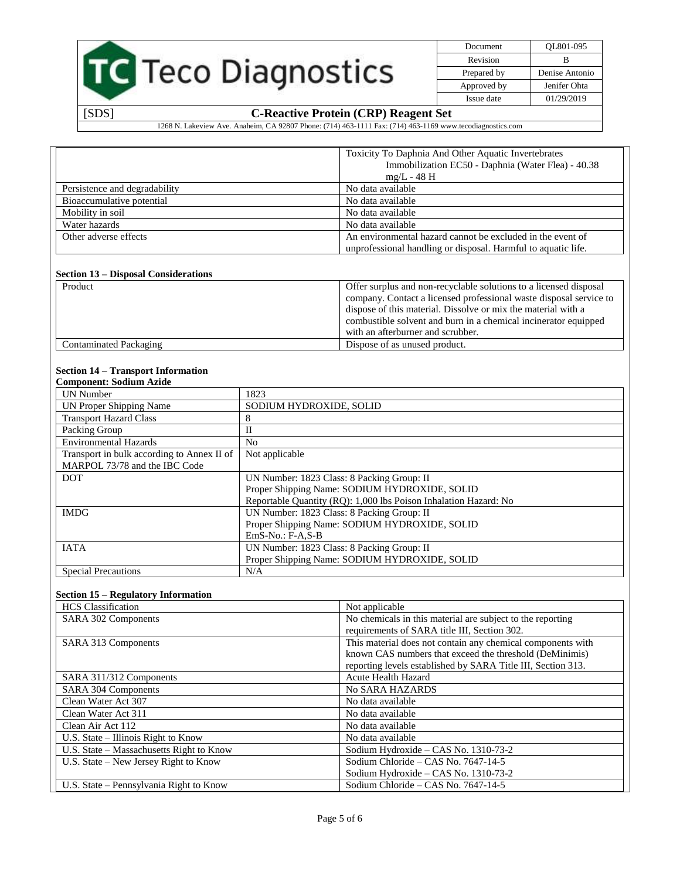|  | <b>TC</b> Teco Diagnostics |
|--|----------------------------|
|  |                            |

Document QL801-095 Revision B Prepared by Denise Antonio Approved by Jenifer Ohta Issue date 01/29/2019

# [SDS] **C-Reactive Protein (CRP) Reagent Set**

1268 N. Lakeview Ave. Anaheim, CA 92807 Phone: (714) 463-1111 Fax: (714) 463-1169 www.tecodiagnostics.com

|                               | Toxicity To Daphnia And Other Aquatic Invertebrates           |
|-------------------------------|---------------------------------------------------------------|
|                               | Immobilization EC50 - Daphnia (Water Flea) - 40.38            |
|                               | $mg/L - 48$ H                                                 |
| Persistence and degradability | No data available                                             |
| Bioaccumulative potential     | No data available                                             |
| Mobility in soil              | No data available                                             |
| Water hazards                 | No data available                                             |
| Other adverse effects         | An environmental hazard cannot be excluded in the event of    |
|                               | unprofessional handling or disposal. Harmful to aquatic life. |

#### **Section 13 – Disposal Considerations**

| Product                | Offer surplus and non-recyclable solutions to a licensed disposal<br>company. Contact a licensed professional waste disposal service to |
|------------------------|-----------------------------------------------------------------------------------------------------------------------------------------|
|                        | dispose of this material. Dissolve or mix the material with a<br>combustible solvent and burn in a chemical incinerator equipped        |
|                        | with an afterburner and scrubber.                                                                                                       |
| Contaminated Packaging | Dispose of as unused product.                                                                                                           |

# **Section 14 – Transport Information**

| <b>Component: Sodium Azide</b>             |                                                                  |
|--------------------------------------------|------------------------------------------------------------------|
| UN Number                                  | 1823                                                             |
| UN Proper Shipping Name                    | SODIUM HYDROXIDE, SOLID                                          |
| <b>Transport Hazard Class</b>              | 8                                                                |
| Packing Group                              | П                                                                |
| <b>Environmental Hazards</b>               | N <sub>0</sub>                                                   |
| Transport in bulk according to Annex II of | Not applicable                                                   |
| MARPOL 73/78 and the IBC Code              |                                                                  |
| <b>DOT</b>                                 | UN Number: 1823 Class: 8 Packing Group: II                       |
|                                            | Proper Shipping Name: SODIUM HYDROXIDE, SOLID                    |
|                                            | Reportable Quantity (RQ): 1,000 lbs Poison Inhalation Hazard: No |
| <b>IMDG</b>                                | UN Number: 1823 Class: 8 Packing Group: II                       |
|                                            | Proper Shipping Name: SODIUM HYDROXIDE, SOLID                    |
|                                            | $EmS-No.: F-A,S-B$                                               |
| <b>IATA</b>                                | UN Number: 1823 Class: 8 Packing Group: II                       |
|                                            | Proper Shipping Name: SODIUM HYDROXIDE, SOLID                    |
| <b>Special Precautions</b>                 | N/A                                                              |

#### **Section 15 – Regulatory Information**

| <b>HCS</b> Classification                | Not applicable                                               |
|------------------------------------------|--------------------------------------------------------------|
| SARA 302 Components                      | No chemicals in this material are subject to the reporting   |
|                                          | requirements of SARA title III, Section 302.                 |
| SARA 313 Components                      | This material does not contain any chemical components with  |
|                                          | known CAS numbers that exceed the threshold (DeMinimis)      |
|                                          | reporting levels established by SARA Title III, Section 313. |
| SARA 311/312 Components                  | <b>Acute Health Hazard</b>                                   |
| SARA 304 Components                      | <b>No SARA HAZARDS</b>                                       |
| Clean Water Act 307                      | No data available                                            |
| Clean Water Act 311                      | No data available                                            |
| Clean Air Act 112                        | No data available                                            |
| U.S. State – Illinois Right to Know      | No data available                                            |
| U.S. State – Massachusetts Right to Know | Sodium Hydroxide – CAS No. 1310-73-2                         |
| U.S. State – New Jersey Right to Know    | Sodium Chloride – CAS No. 7647-14-5                          |
|                                          | Sodium Hydroxide – CAS No. $1310-73-2$                       |
| U.S. State – Pennsylvania Right to Know  | Sodium Chloride – CAS No. 7647-14-5                          |